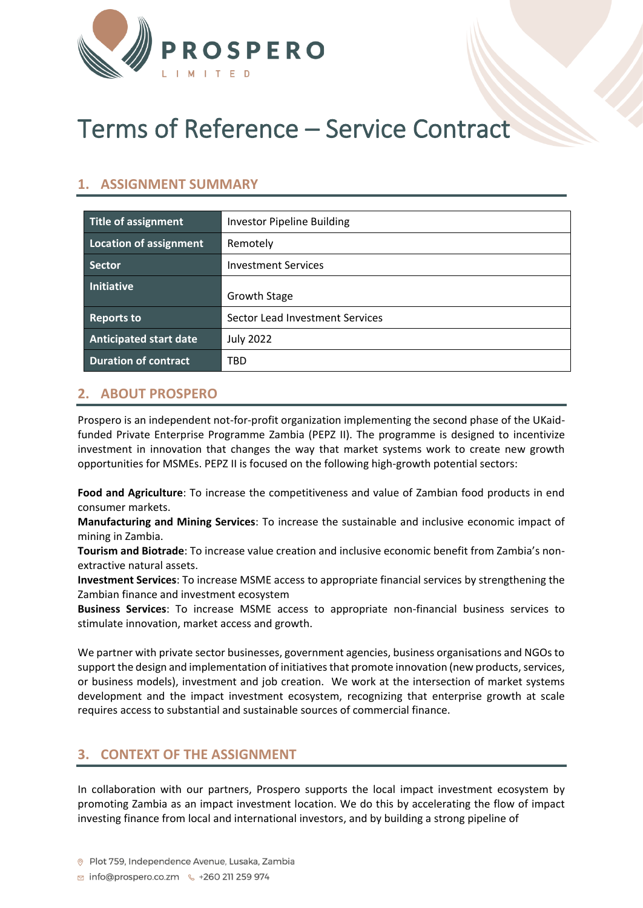

# Terms of Reference – Service Contract

#### **1. ASSIGNMENT SUMMARY**

| Title of assignment           | <b>Investor Pipeline Building</b> |
|-------------------------------|-----------------------------------|
| Location of assignment        | Remotely                          |
| <b>Sector</b>                 | <b>Investment Services</b>        |
| <b>Initiative</b>             | <b>Growth Stage</b>               |
| <b>Reports to</b>             | Sector Lead Investment Services   |
| <b>Anticipated start date</b> | <b>July 2022</b>                  |
| <b>Duration of contract</b>   | TBD                               |

## **2. ABOUT PROSPERO**

Prospero is an independent not-for-profit organization implementing the second phase of the UKaidfunded Private Enterprise Programme Zambia (PEPZ II). The programme is designed to incentivize investment in innovation that changes the way that market systems work to create new growth opportunities for MSMEs. PEPZ II is focused on the following high-growth potential sectors:

**Food and Agriculture**: To increase the competitiveness and value of Zambian food products in end consumer markets.

**Manufacturing and Mining Services**: To increase the sustainable and inclusive economic impact of mining in Zambia.

**Tourism and Biotrade**: To increase value creation and inclusive economic benefit from Zambia's nonextractive natural assets.

**Investment Services**: To increase MSME access to appropriate financial services by strengthening the Zambian finance and investment ecosystem

**Business Services**: To increase MSME access to appropriate non-financial business services to stimulate innovation, market access and growth.

We partner with private sector businesses, government agencies, business organisations and NGOs to support the design and implementation of initiatives that promote innovation (new products, services, or business models), investment and job creation. We work at the intersection of market systems development and the impact investment ecosystem, recognizing that enterprise growth at scale requires access to substantial and sustainable sources of commercial finance.

#### **3. CONTEXT OF THE ASSIGNMENT**

In collaboration with our partners, Prospero supports the local impact investment ecosystem by promoting Zambia as an impact investment location. We do this by accelerating the flow of impact investing finance from local and international investors, and by building a strong pipeline of

**259 974** info@prospero.co.zm ↓ +260 211 259 974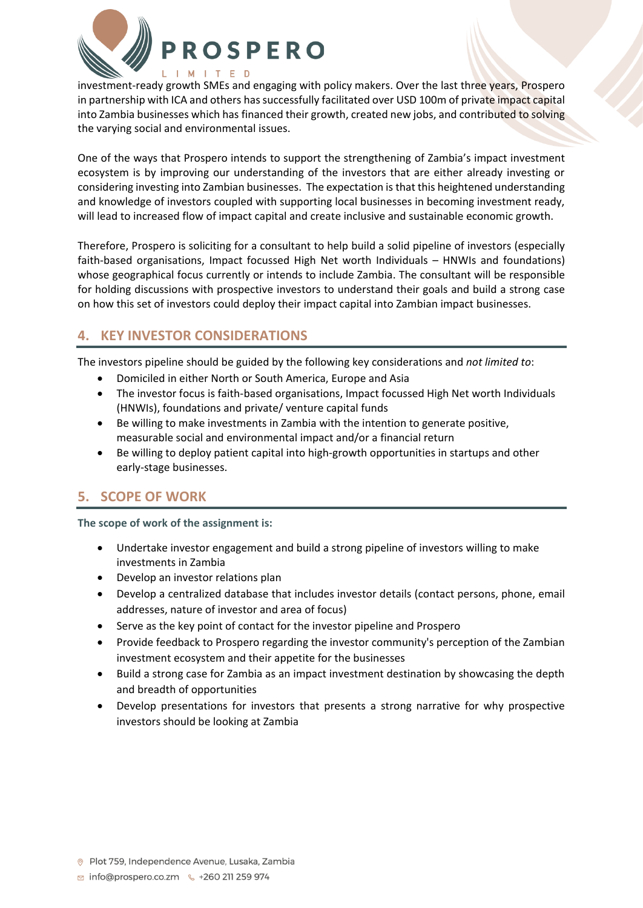

investment-ready growth SMEs and engaging with policy makers. Over the last three years, Prospero in partnership with ICA and others has successfully facilitated over USD 100m of private impact capital into Zambia businesses which has financed their growth, created new jobs, and contributed to solving the varying social and environmental issues.

One of the ways that Prospero intends to support the strengthening of Zambia's impact investment ecosystem is by improving our understanding of the investors that are either already investing or considering investing into Zambian businesses. The expectation is that this heightened understanding and knowledge of investors coupled with supporting local businesses in becoming investment ready, will lead to increased flow of impact capital and create inclusive and sustainable economic growth.

Therefore, Prospero is soliciting for a consultant to help build a solid pipeline of investors (especially faith-based organisations, Impact focussed High Net worth Individuals – HNWIs and foundations) whose geographical focus currently or intends to include Zambia. The consultant will be responsible for holding discussions with prospective investors to understand their goals and build a strong case on how this set of investors could deploy their impact capital into Zambian impact businesses.

## **4. KEY INVESTOR CONSIDERATIONS**

The investors pipeline should be guided by the following key considerations and *not limited to*:

- Domiciled in either North or South America, Europe and Asia
- The investor focus is faith-based organisations, Impact focussed High Net worth Individuals (HNWIs), foundations and private/ venture capital funds
- Be willing to make investments in Zambia with the intention to generate positive, measurable social and environmental impact and/or a financial return
- Be willing to deploy patient capital into high-growth opportunities in startups and other early-stage businesses.

## **5. SCOPE OF WORK**

**The scope of work of the assignment is:**

- Undertake investor engagement and build a strong pipeline of investors willing to make investments in Zambia
- Develop an investor relations plan
- Develop a centralized database that includes investor details (contact persons, phone, email addresses, nature of investor and area of focus)
- Serve as the key point of contact for the investor pipeline and Prospero
- Provide feedback to Prospero regarding the investor community's perception of the Zambian investment ecosystem and their appetite for the businesses
- Build a strong case for Zambia as an impact investment destination by showcasing the depth and breadth of opportunities
- Develop presentations for investors that presents a strong narrative for why prospective investors should be looking at Zambia